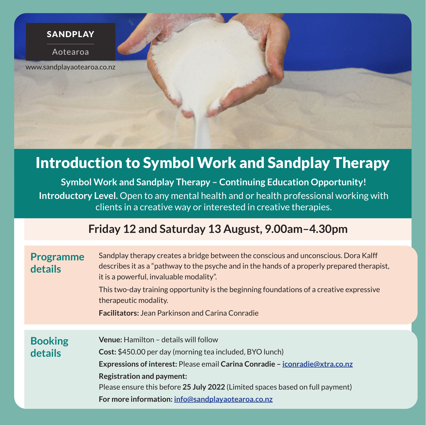#### SANDPLAY

Aotearoa

www.sandplayaotearoa.co.nz

# Introduction to Symbol Work and Sandplay Therapy

**Symbol Work and Sandplay Therapy – Continuing Education Opportunity! Introductory Level.** Open to any mental health and or health professional working with clients in a creative way or interested in creative therapies.

# **Friday 12 and Saturday 13 August, 9.00am–4.30pm**

| <b>Programme</b><br>details | Sandplay therapy creates a bridge between the conscious and unconscious. Dora Kalff<br>describes it as a "pathway to the psyche and in the hands of a properly prepared therapist,<br>it is a powerful, invaluable modality".<br>This two-day training opportunity is the beginning foundations of a creative expressive<br>therapeutic modality.<br><b>Facilitators:</b> Jean Parkinson and Carina Conradie |
|-----------------------------|--------------------------------------------------------------------------------------------------------------------------------------------------------------------------------------------------------------------------------------------------------------------------------------------------------------------------------------------------------------------------------------------------------------|
|                             |                                                                                                                                                                                                                                                                                                                                                                                                              |
|                             |                                                                                                                                                                                                                                                                                                                                                                                                              |
| <b>Booking</b>              | <b>Venue:</b> Hamilton - details will follow                                                                                                                                                                                                                                                                                                                                                                 |
| details                     | <b>Cost:</b> \$450.00 per day (morning tea included, BYO lunch)                                                                                                                                                                                                                                                                                                                                              |
|                             | Expressions of interest: Please email Carina Conradie - iconradie@xtra.co.nz                                                                                                                                                                                                                                                                                                                                 |
|                             | <b>Registration and payment:</b>                                                                                                                                                                                                                                                                                                                                                                             |
|                             | Please ensure this before 25 July 2022 (Limited spaces based on full payment)                                                                                                                                                                                                                                                                                                                                |
|                             | For more information: info@sandplayaotearoa.co.nz                                                                                                                                                                                                                                                                                                                                                            |